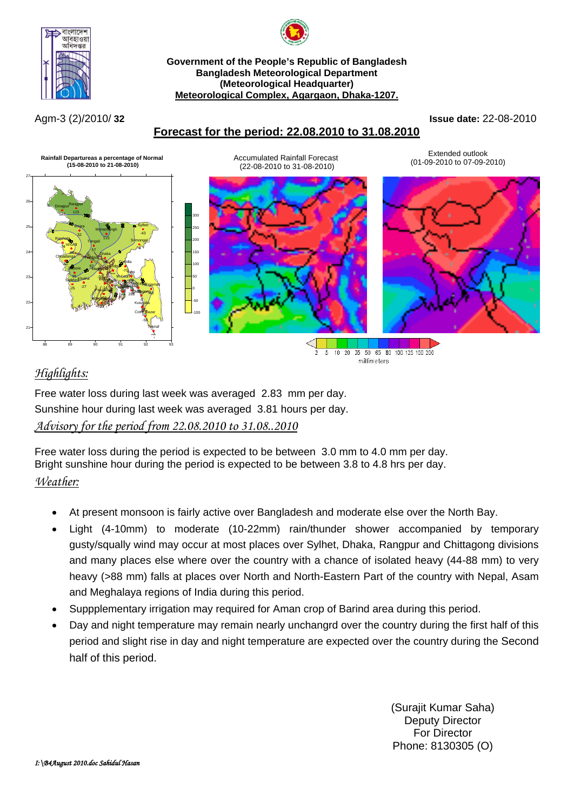

#### **Government of the People's Republic of Bangladesh Bangladesh Meteorological Department (Meteorological Headquarter) Meteorological Complex, Agargaon, Dhaka-1207.**

Agm-3 (2)/2010/ **32 Issue date:** 22-08-2010





# *Highlights:*

Free water loss during last week was averaged 2.83 mm per day. Sunshine hour during last week was averaged 3.81 hours per day. *Advisory for the period from 22.08.2010 to 31.08..2010*

Free water loss during the period is expected to be between 3.0 mm to 4.0 mm per day. Bright sunshine hour during the period is expected to be between 3.8 to 4.8 hrs per day. *Weather:*

- At present monsoon is fairly active over Bangladesh and moderate else over the North Bay.
- Light (4-10mm) to moderate (10-22mm) rain/thunder shower accompanied by temporary gusty/squally wind may occur at most places over Sylhet, Dhaka, Rangpur and Chittagong divisions and many places else where over the country with a chance of isolated heavy (44-88 mm) to very heavy (>88 mm) falls at places over North and North-Eastern Part of the country with Nepal, Asam and Meghalaya regions of India during this period.
- Suppplementary irrigation may required for Aman crop of Barind area during this period.
- Day and night temperature may remain nearly unchangrd over the country during the first half of this period and slight rise in day and night temperature are expected over the country during the Second half of this period.

(Surajit Kumar Saha) Deputy Director For Director Phone: 8130305 (O)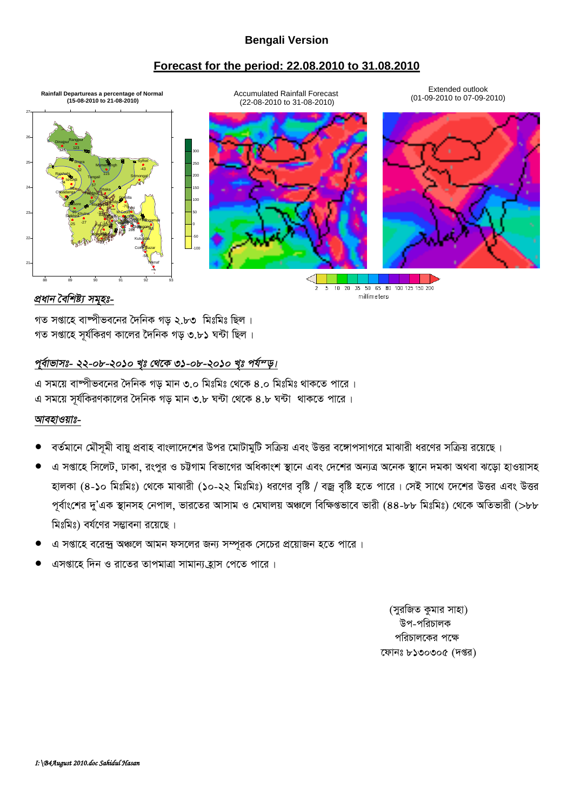## **Bengali Version**

#### **Forecast for the period: 22.08.2010 to 31.08.2010**



#### *প্ৰধান বৈশিষ্ট্য সমুহঃ-*

গত সপ্তাহে বাম্পীভবনের দৈনিক গড় ২.৮৩ মিঃমিঃ ছিল। গত সপ্তাহে সূর্যকিরণ কালের দৈনিক গড় ৩.৮১ ঘন্টা ছিল।

## পুৰ্বাভাসঃ- ২২-০৮-২০১০ খঃ থেকে ৩১-০৮-২০১০ খঃ পৰ্য<sup>ন্</sup>ড়।

এ সময়ে বাম্পীভবনের দৈনিক গড মান ৩.০ মিঃমিঃ থেকে ৪.০ মিঃমিঃ থাকতে পারে । এ সময়ে সূর্যকিরণকালের দৈনিক গড় মান ৩.৮ ঘন্টা থেকে ৪.৮ ঘন্টা থাকতে পারে।

#### *আবহাওয়াঃ-*

- বর্তমানে মৌসমী বায়ু প্রবাহ বাংলাদেশের উপর মোটামুটি সক্রিয় এবং উত্তর বঙ্গোপসাগরে মাঝারী ধরণের সক্রিয় রয়েছে।
- এ সপ্তাহে সিলেট, ঢাকা, রংপুর ও চট্টগাম বিভাগের অধিকাংশ স্থানে এবং দেশের অন্যত্র অনেক স্থানে দমকা অথবা ঝড়ো হাওয়াসহ হালকা (৪-১০ মিঃমিঃ) থেকে মাঝারী (১০-২২ মিঃমিঃ) ধরণের বৃষ্টি / বজ্র বৃষ্টি হতে পারে। সেই সাথে দেশের উত্তর এবং উত্তর পূর্বাংশের দু'এক স্থানসহ নেপাল, ভারতের আসাম ও মেঘালয় অঞ্চলে বিক্ষিগুভাবে ভারী (৪৪-৮৮ মিঃমিঃ) থেকে অতিভারী (>৮৮ মিঃমিঃ) বর্যণের সম্ভাবনা রয়েছে।
- এ সপ্তাহে বরেন্দ্র অঞ্চলে আমন ফসলের জন্য সম্পূরক সেচের প্রয়োজন হতে পারে।
- এসপ্তাহে দিন ও রাতের তাপমাত্রা সামান্য হাস পেতে পারে।

(সুরজিত কুমার সাহা) উপ-পরিচালক পরিচালকের পক্ষে ফোনঃ ৮১৩০৩০৫ (দপ্তর)